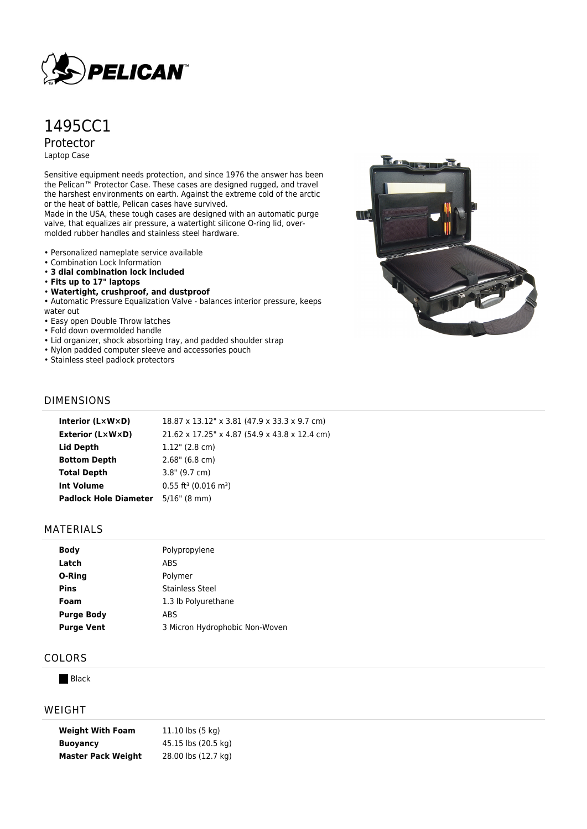

# 1495CC1 Protector

Laptop Case

Sensitive equipment needs protection, and since 1976 the answer has been the Pelican™ Protector Case. These cases are designed rugged, and travel the harshest environments on earth. Against the extreme cold of the arctic or the heat of battle, Pelican cases have survived.

Made in the USA, these tough cases are designed with an automatic purge valve, that equalizes air pressure, a watertight silicone O-ring lid, overmolded rubber handles and stainless steel hardware.

- Personalized nameplate service available
- Combination Lock Information
- **3 dial combination lock included**
- **Fits up to 17" laptops**
- **Watertight, crushproof, and dustproof**
- Automatic Pressure Equalization Valve balances interior pressure, keeps

water out

- Easy open Double Throw latches
- Fold down overmolded handle
- Lid organizer, shock absorbing tray, and padded shoulder strap
- Nylon padded computer sleeve and accessories pouch
- Stainless steel padlock protectors



## DIMENSIONS

| Interior (LxWxD)             | 18.87 x 13.12" x 3.81 (47.9 x 33.3 x 9.7 cm)   |
|------------------------------|------------------------------------------------|
| <b>Exterior (L×W×D)</b>      | 21.62 x 17.25" x 4.87 (54.9 x 43.8 x 12.4 cm)  |
| Lid Depth                    | $1.12$ " (2.8 cm)                              |
| <b>Bottom Depth</b>          | $2.68$ " (6.8 cm)                              |
| <b>Total Depth</b>           | $3.8"$ (9.7 cm)                                |
| Int Volume                   | $0.55$ ft <sup>3</sup> (0.016 m <sup>3</sup> ) |
| <b>Padlock Hole Diameter</b> | $5/16$ " (8 mm)                                |

## MATERIALS

| <b>Body</b>       | Polypropylene                  |
|-------------------|--------------------------------|
| Latch             | ABS                            |
| O-Ring            | Polymer                        |
| Pins              | Stainless Steel                |
| Foam              | 1.3 lb Polyurethane            |
| <b>Purge Body</b> | ABS                            |
| <b>Purge Vent</b> | 3 Micron Hydrophobic Non-Woven |

## COLORS

**Black** 

#### WEIGHT

| <b>Weight With Foam</b>   | 11.10 lbs (5 kg)    |
|---------------------------|---------------------|
| <b>Buoyancy</b>           | 45.15 lbs (20.5 kg) |
| <b>Master Pack Weight</b> | 28.00 lbs (12.7 kg) |